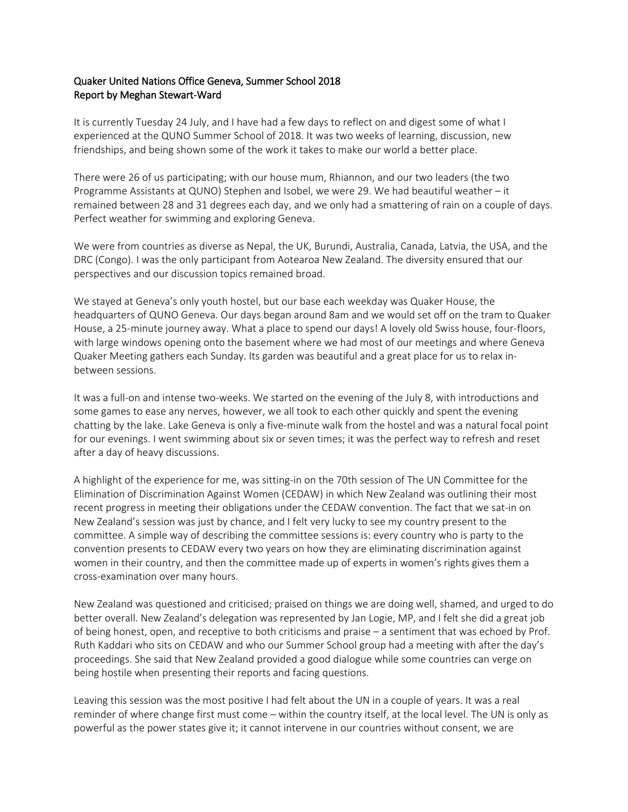## Quaker United Nations Office Geneva, Summer School 2018 Report by Meghan Stewart-Ward

It is currently Tuesday 24 July, and I have had a few days to reflect on and digest some of what I experienced at the QUNO Summer School of 2018. It was two weeks of learning, discussion, new friendships, and being shown some of the work it takes to make our world a better place.

There were 26 of us participating; with our house mum, Rhiannon, and our two leaders (the two Programme Assistants at QUNO) Stephen and Isobel, we were 29. We had beautiful weather – it remained between 28 and 31 degrees each day, and we only had a smattering of rain on a couple of days. Perfect weather for swimming and exploring Geneva.

We were from countries as diverse as Nepal, the UK, Burundi, Australia, Canada, Latvia, the USA, and the DRC (Congo). I was the only participant from Aotearoa New Zealand. The diversity ensured that our perspectives and our discussion topics remained broad.

We stayed at Geneva's only youth hostel, but our base each weekday was Quaker House, the headquarters of QUNO Geneva. Our days began around 8am and we would set off on the tram to Quaker House, a 25-minute journey away. What a place to spend our days! A lovely old Swiss house, four-floors, with large windows opening onto the basement where we had most of our meetings and where Geneva Quaker Meeting gathers each Sunday. Its garden was beautiful and a great place for us to relax inbetween sessions.

It was a full-on and intense two-weeks. We started on the evening of the July 8, with introductions and some games to ease any nerves, however, we all took to each other quickly and spent the evening chatting by the lake. Lake Geneva is only a five-minute walk from the hostel and was a natural focal point for our evenings. I went swimming about six or seven times; it was the perfect way to refresh and reset after a day of heavy discussions.

A highlight of the experience for me, was sitting-in on the 70th session of The UN Committee for the Elimination of Discrimination Against Women (CEDAW) in which New Zealand was outlining their most recent progress in meeting their obligations under the CEDAW convention. The fact that we sat-in on New Zealand's session was just by chance, and I felt very lucky to see my country present to the committee. A simple way of describing the committee sessions is: every country who is party to the convention presents to CEDAW every two years on how they are eliminating discrimination against women in their country, and then the committee made up of experts in women's rights gives them a cross-examination over many hours.

New Zealand was questioned and criticised; praised on things we are doing well, shamed, and urged to do better overall. New Zealand's delegation was represented by Jan Logie, MP, and I felt she did a great job of being honest, open, and receptive to both criticisms and praise – a sentiment that was echoed by Prof. Ruth Kaddari who sits on CEDAW and who our Summer School group had a meeting with after the day's proceedings. She said that New Zealand provided a good dialogue while some countries can verge on being hostile when presenting their reports and facing questions.

Leaving this session was the most positive I had felt about the UN in a couple of years. It was a real reminder of where change first must come – within the country itself, at the local level. The UN is only as powerful as the power states give it; it cannot intervene in our countries without consent, we are